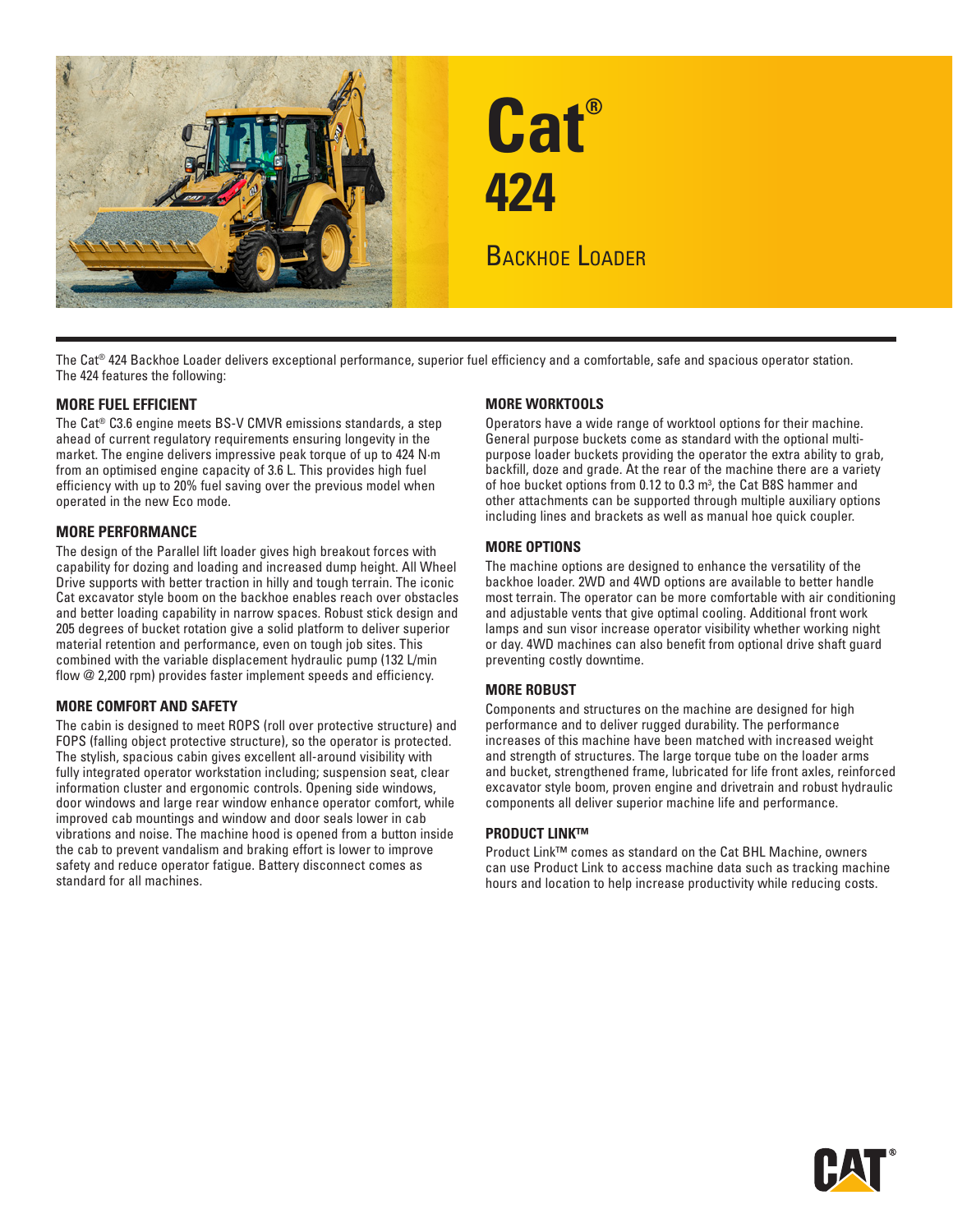

The Cat® 424 Backhoe Loader delivers exceptional performance, superior fuel efficiency and a comfortable, safe and spacious operator station. The 424 features the following:

#### **MORE FUEL EFFICIENT**

The Cat® C3.6 engine meets BS-V CMVR emissions standards, a step ahead of current regulatory requirements ensuring longevity in the market. The engine delivers impressive peak torque of up to 424 N·m from an optimised engine capacity of 3.6 L. This provides high fuel efficiency with up to 20% fuel saving over the previous model when operated in the new Eco mode.

#### **MORE PERFORMANCE**

The design of the Parallel lift loader gives high breakout forces with capability for dozing and loading and increased dump height. All Wheel Drive supports with better traction in hilly and tough terrain. The iconic Cat excavator style boom on the backhoe enables reach over obstacles and better loading capability in narrow spaces. Robust stick design and 205 degrees of bucket rotation give a solid platform to deliver superior material retention and performance, even on tough job sites. This combined with the variable displacement hydraulic pump (132 L/min flow @ 2,200 rpm) provides faster implement speeds and efficiency.

#### **MORE COMFORT AND SAFETY**

The cabin is designed to meet ROPS (roll over protective structure) and FOPS (falling object protective structure), so the operator is protected. The stylish, spacious cabin gives excellent all-around visibility with fully integrated operator workstation including; suspension seat, clear information cluster and ergonomic controls. Opening side windows, door windows and large rear window enhance operator comfort, while improved cab mountings and window and door seals lower in cab vibrations and noise. The machine hood is opened from a button inside the cab to prevent vandalism and braking effort is lower to improve safety and reduce operator fatigue. Battery disconnect comes as standard for all machines.

#### **MORE WORKTOOLS**

Operators have a wide range of worktool options for their machine. General purpose buckets come as standard with the optional multipurpose loader buckets providing the operator the extra ability to grab, backfill, doze and grade. At the rear of the machine there are a variety of hoe bucket options from 0.12 to 0.3 m<sup>3</sup>, the Cat B8S hammer and other attachments can be supported through multiple auxiliary options including lines and brackets as well as manual hoe quick coupler.

#### **MORE OPTIONS**

The machine options are designed to enhance the versatility of the backhoe loader. 2WD and 4WD options are available to better handle most terrain. The operator can be more comfortable with air conditioning and adjustable vents that give optimal cooling. Additional front work lamps and sun visor increase operator visibility whether working night or day. 4WD machines can also benefit from optional drive shaft guard preventing costly downtime.

#### **MORE ROBUST**

Components and structures on the machine are designed for high performance and to deliver rugged durability. The performance increases of this machine have been matched with increased weight and strength of structures. The large torque tube on the loader arms and bucket, strengthened frame, lubricated for life front axles, reinforced excavator style boom, proven engine and drivetrain and robust hydraulic components all deliver superior machine life and performance.

#### **PRODUCT LINK™**

Product Link™ comes as standard on the Cat BHL Machine, owners can use Product Link to access machine data such as tracking machine hours and location to help increase productivity while reducing costs.

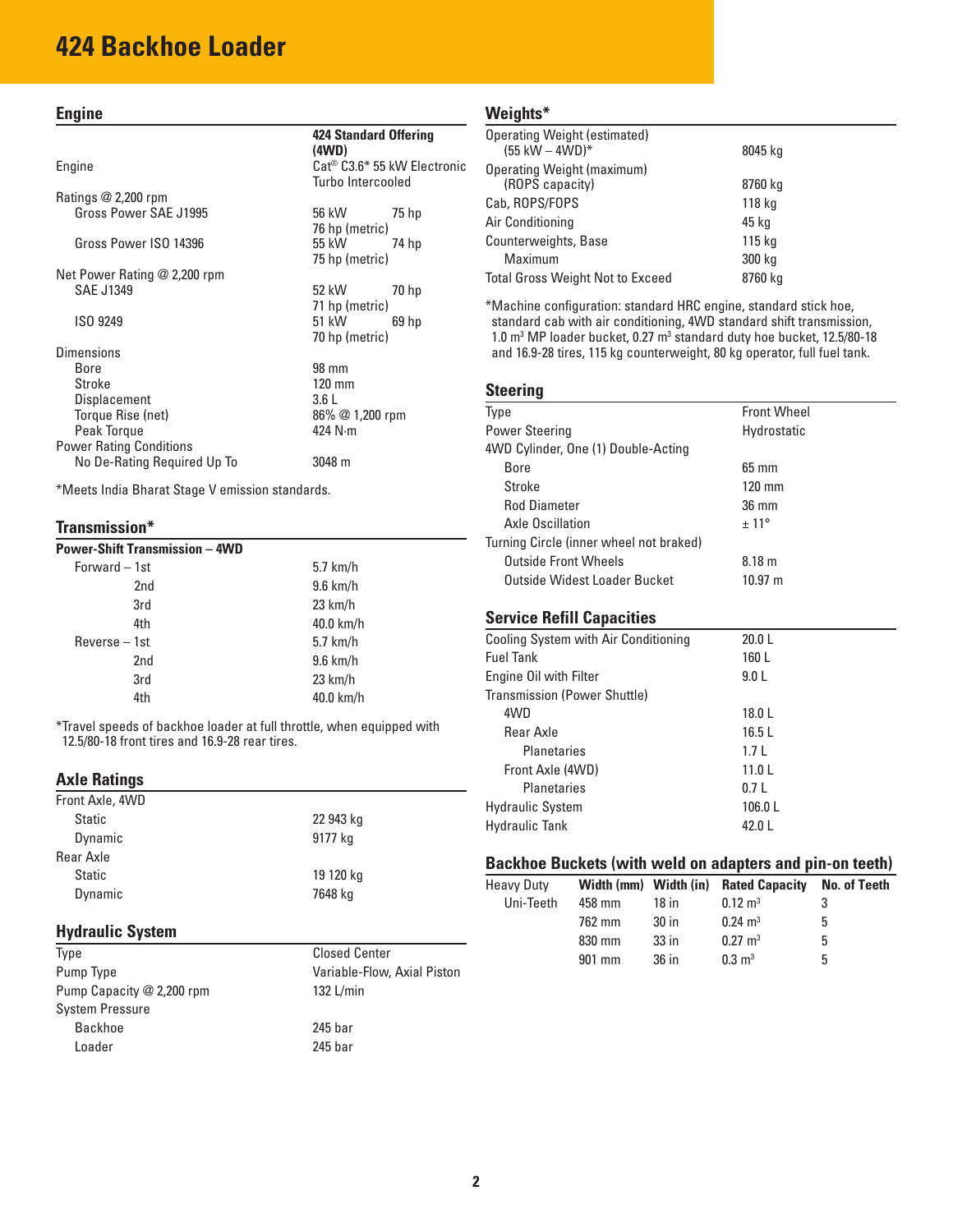# **424 Backhoe Loader**

#### **Engine**

Engine Cat® C3.6\* 55 kW Electronic Turbo Intercooled Ratings @ 2,200 rpm Gross Power SAE J1995 56 kW 75 hp 76 hp (metric) Gross Power ISO 14396 55 kW 74 hp 75 hp (metric) Net Power Rating @ 2,200 rpm SAE J1349 52 kW 70 hp 71 hp (metric) 70 hp (metric) Dimensions Bore

| UAL UIUTU                      | JZ NVV           | 1011  |
|--------------------------------|------------------|-------|
|                                | 71 hp (metric)   |       |
| ISO 9249                       | 51 kW            | 69 hp |
|                                | 70 hp (metric)   |       |
| Dimensions                     |                  |       |
| Bore                           | 98 mm            |       |
| Stroke                         | $120 \text{ mm}$ |       |
| Displacement                   | 3.6L             |       |
| Torque Rise (net)              | 86% @ 1,200 rpm  |       |
| Peak Torque                    | 424 $N \cdot m$  |       |
| <b>Power Rating Conditions</b> |                  |       |
| No De-Rating Required Up To    | 3048 m           |       |

\*Meets India Bharat Stage V emission standards.

#### **Transmission\***

| <b>Power-Shift Transmission - 4WD</b> |                   |  |  |
|---------------------------------------|-------------------|--|--|
| Forward - 1st                         | $5.7$ km/h        |  |  |
| 2nd                                   | $9.6$ km/h        |  |  |
| 3rd                                   | $23 \text{ km/h}$ |  |  |
| 4th                                   | 40.0 km/h         |  |  |
| Reverse - 1st                         | $5.7$ km/h        |  |  |
| 2nd                                   | $9.6$ km/h        |  |  |
| 3rd                                   | $23$ km/h         |  |  |
| 4th                                   | 40.0 km/h         |  |  |

\*Travel speeds of backhoe loader at full throttle, when equipped with 12.5/80-18 front tires and 16.9-28 rear tires.

#### **Axle Ratings**

| Front Axle, 4WD |           |
|-----------------|-----------|
| <b>Static</b>   | 22 943 kg |
| Dynamic         | 9177 kg   |
| Rear Axle       |           |
| <b>Static</b>   | 19 120 kg |
| Dynamic         | 7648 kg   |
|                 |           |

#### **Hydraulic System**

| Type                      |
|---------------------------|
| Pump Type                 |
| Pump Capacity @ 2,200 rpm |
| <b>System Pressure</b>    |
| Backhoe                   |
| Loader                    |

Closed Center Variable-Flow, Axial Piston 132 L/min  $245$  bar

 $245$  bar

#### **Weights\***

**424 Standard Offering** 

**(4WD)**

| <b>Operating Weight (estimated)</b><br>$(55 \text{ kW} - 4 \text{WD})$ * | 8045 kg |
|--------------------------------------------------------------------------|---------|
| Operating Weight (maximum)                                               |         |
| (ROPS capacity)                                                          | 8760 kg |
| Cab, ROPS/FOPS                                                           | 118 kg  |
| Air Conditioning                                                         | 45 kg   |
| Counterweights, Base                                                     | 115 kg  |
| Maximum                                                                  | 300 kg  |
| Total Gross Weight Not to Exceed                                         | 8760 ka |

\*Machine configuration: standard HRC engine, standard stick hoe, standard cab with air conditioning, 4WD standard shift transmission, 1.0 m<sup>3</sup> MP loader bucket, 0.27 m<sup>3</sup> standard duty hoe bucket, 12.5/80-18 and 16.9-28 tires, 115 kg counterweight, 80 kg operator, full fuel tank.

#### **Steering**

| Type                                    | <b>Front Wheel</b> |
|-----------------------------------------|--------------------|
| <b>Power Steering</b>                   | Hydrostatic        |
| 4WD Cylinder, One (1) Double-Acting     |                    |
| <b>Bore</b>                             | $65 \text{ mm}$    |
| Stroke                                  | $120 \text{ mm}$   |
| <b>Rod Diameter</b>                     | $36 \text{ mm}$    |
| Axle Oscillation                        | $± 11^{\circ}$     |
| Turning Circle (inner wheel not braked) |                    |
| <b>Outside Front Wheels</b>             | 8.18 m             |
| Outside Widest Loader Bucket            | $10.97 \; m$       |
|                                         |                    |
|                                         |                    |

#### **Service Refill Capacities**

| Cooling System with Air Conditioning | 20.0 L            |  |
|--------------------------------------|-------------------|--|
| Fuel Tank                            | 160 L             |  |
| <b>Engine Oil with Filter</b>        | 9.0 <sub>L</sub>  |  |
| Transmission (Power Shuttle)         |                   |  |
| 4WD                                  | 18.0 L            |  |
| Rear Axle                            | 16.5L             |  |
| <b>Planetaries</b>                   | 1.7 <sub>L</sub>  |  |
| Front Axle (4WD)                     | 11.0 <sub>L</sub> |  |
| Planetaries                          | 0.7L              |  |
| Hydraulic System                     | 106.0 L           |  |
| Hydraulic Tank                       | 42.0 L            |  |
|                                      |                   |  |

#### **Backhoe Buckets (with weld on adapters and pin-on teeth)**

| <b>Heavy Duty</b> |        |                  | Width (mm) Width (in) Rated Capacity | No. of Teeth |
|-------------------|--------|------------------|--------------------------------------|--------------|
| Uni-Teeth         | 458 mm | $18$ in          | $0.12 \text{ m}^3$                   | 3            |
|                   | 762 mm | 30 <sub>in</sub> | $0.24 \text{ m}^3$                   | 5            |
|                   | 830 mm | $33$ in          | $0.27 \text{ m}^3$                   | 5            |
|                   | 901 mm | 36 in            | $0.3 \text{ m}^3$                    | 5            |
|                   |        |                  |                                      |              |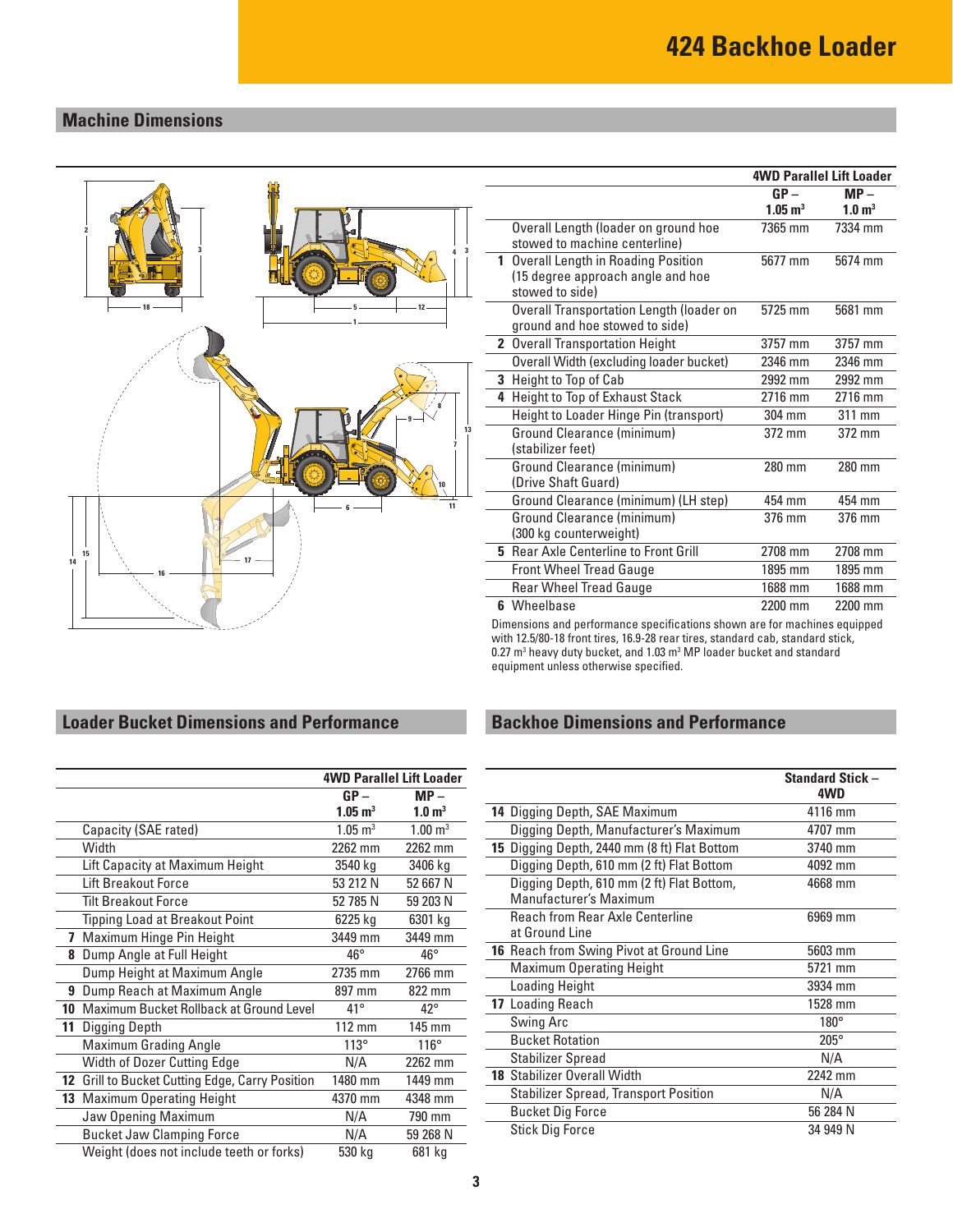## **Machine Dimensions**



|   |                                                | <b>4WD Parallel Lift Loader</b> |                    |
|---|------------------------------------------------|---------------------------------|--------------------|
|   |                                                | $GP -$                          | $MP -$             |
|   |                                                | $1.05 \; \mathrm{m}^3$          | 1.0 m <sup>3</sup> |
|   | Overall Length (loader on ground hoe           | 7365 mm                         | 7334 mm            |
|   | stowed to machine centerline)                  |                                 |                    |
|   | 1 Overall Length in Roading Position           | 5677 mm                         | 5674 mm            |
|   | (15 degree approach angle and hoe              |                                 |                    |
|   | stowed to side)                                |                                 |                    |
|   | Overall Transportation Length (loader on       | 5725 mm                         | 5681 mm            |
|   | ground and hoe stowed to side)                 |                                 |                    |
|   | 2 Overall Transportation Height                | 3757 mm                         | 3757 mm            |
|   | <b>Overall Width (excluding loader bucket)</b> | 2346 mm                         | 2346 mm            |
| 3 | Height to Top of Cab                           | 2992 mm                         | 2992 mm            |
| 4 | Height to Top of Exhaust Stack                 | 2716 mm                         | 2716 mm            |
|   | Height to Loader Hinge Pin (transport)         | 304 mm                          | 311 mm             |
|   | <b>Ground Clearance (minimum)</b>              | 372 mm                          | 372 mm             |
|   | (stabilizer feet)                              |                                 |                    |
|   | Ground Clearance (minimum)                     | 280 mm                          | 280 mm             |
|   | (Drive Shaft Guard)                            |                                 |                    |
|   | Ground Clearance (minimum) (LH step)           | 454 mm                          | 454 mm             |
|   | Ground Clearance (minimum)                     | 376 mm                          | 376 mm             |
|   | (300 kg counterweight)                         |                                 |                    |
|   | 5 Rear Axle Centerline to Front Grill          | 2708 mm                         | 2708 mm            |
|   | <b>Front Wheel Tread Gauge</b>                 | 1895 mm                         | 1895 mm            |
|   | <b>Rear Wheel Tread Gauge</b>                  | 1688 mm                         | 1688 mm            |
|   | 6 Wheelbase                                    | 2200 mm                         | 2200 mm            |
|   | .<br>$\cdot$ $\cdot$                           | $\sim$ $\sim$ $\sim$ $\sim$     |                    |

Dimensions and performance specifications shown are for machines equipped with 12.5/80-18 front tires, 16.9-28 rear tires, standard cab, standard stick, 0.27  $\text{m}^3$  heavy duty bucket, and 1.03  $\text{m}^3$  MP loader bucket and standard equipment unless otherwise specified.

## **Backhoe Dimensions and Performance**

|                                                                     | <b>Standard Stick -</b><br>4WD |
|---------------------------------------------------------------------|--------------------------------|
| 14 Digging Depth, SAE Maximum                                       | 4116 mm                        |
| Digging Depth, Manufacturer's Maximum                               | 4707 mm                        |
| 15 Digging Depth, 2440 mm (8 ft) Flat Bottom                        | 3740 mm                        |
| Digging Depth, 610 mm (2 ft) Flat Bottom                            | 4092 mm                        |
| Digging Depth, 610 mm (2 ft) Flat Bottom,<br>Manufacturer's Maximum | 4668 mm                        |
| Reach from Rear Axle Centerline<br>at Ground Line                   | 6969 mm                        |
| <b>16</b> Reach from Swing Pivot at Ground Line                     | 5603 mm                        |
| <b>Maximum Operating Height</b>                                     | 5721 mm                        |
| Loading Height                                                      | 3934 mm                        |
| 17 Loading Reach                                                    | 1528 mm                        |
| Swing Arc                                                           | $180^\circ$                    |
| <b>Bucket Rotation</b>                                              | $205^\circ$                    |
| <b>Stabilizer Spread</b>                                            | N/A                            |
| <b>18 Stabilizer Overall Width</b>                                  | 2242 mm                        |
| <b>Stabilizer Spread, Transport Position</b>                        | N/A                            |
| <b>Bucket Dig Force</b>                                             | 56 284 N                       |
| <b>Stick Dig Force</b>                                              | 34 949 N                       |

## **Loader Bucket Dimensions and Performance**

|    |                                              | <b>4WD Parallel Lift Loader</b> |                               |
|----|----------------------------------------------|---------------------------------|-------------------------------|
|    |                                              | $GP -$                          | $MP -$                        |
|    |                                              | $1.05 \text{ m}^3$              | 1.0 <sup> m<sup>3</sup></sup> |
|    | Capacity (SAE rated)                         | $1.05 \; \mathrm{m}^3$          | $1.00 \text{ m}^3$            |
|    | Width                                        | 2262 mm                         | 2262 mm                       |
|    | Lift Capacity at Maximum Height              | 3540 kg                         | 3406 kg                       |
|    | Lift Breakout Force                          | 53 212 N                        | 52 667 N                      |
|    | <b>Tilt Breakout Force</b>                   | 52 785 N                        | 59 203 N                      |
|    | <b>Tipping Load at Breakout Point</b>        | 6225 kg                         | 6301 kg                       |
| 7  | Maximum Hinge Pin Height                     | 3449 mm                         | 3449 mm                       |
|    | 8 Dump Angle at Full Height                  | $46^{\circ}$                    | $46^{\circ}$                  |
|    | Dump Height at Maximum Angle                 | 2735 mm                         | 2766 mm                       |
| 9  | Dump Reach at Maximum Angle                  | 897 mm                          | 822 mm                        |
| 10 | Maximum Bucket Rollback at Ground Level      | $41^{\circ}$                    | $42^{\circ}$                  |
| 11 | Digging Depth                                | 112 mm                          | 145 mm                        |
|    | <b>Maximum Grading Angle</b>                 | $113^\circ$                     | $116^\circ$                   |
|    | Width of Dozer Cutting Edge                  | N/A                             | 2262 mm                       |
| 12 | Grill to Bucket Cutting Edge, Carry Position | 1480 mm                         | 1449 mm                       |
|    | 13 Maximum Operating Height                  | 4370 mm                         | 4348 mm                       |
|    | Jaw Opening Maximum                          | N/A                             | 790 mm                        |
|    | <b>Bucket Jaw Clamping Force</b>             | N/A                             | 59 268 N                      |
|    | Weight (does not include teeth or forks)     | 530 kg                          | 681 kg                        |